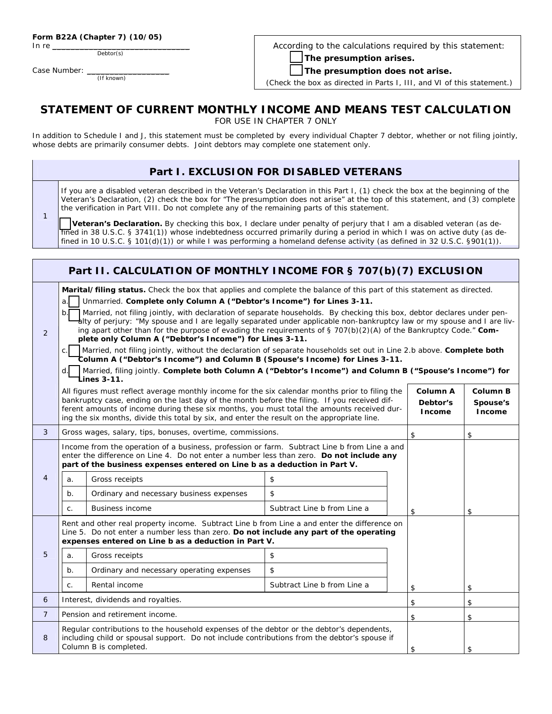|  |  | Form B22A (Chapter 7) (10/05) |
|--|--|-------------------------------|
|--|--|-------------------------------|

In re

1

Case Number: (If known)

Debtor(s)

According to the calculations required by this statement:

 **The presumption arises.** 

 **The presumption does not arise.** 

(Check the box as directed in Parts I, III, and VI of this statement.)

#### **STATEMENT OF CURRENT MONTHLY INCOME AND MEANS TEST CALCULATION**  FOR USE IN CHAPTER 7 ONLY

In addition to Schedule I and J, this statement must be completed by every individual Chapter 7 debtor, whether or not filing jointly, whose debts are primarily consumer debts. Joint debtors may complete one statement only.

### **Part I. EXCLUSION FOR DISABLED VETERANS**

If you are a disabled veteran described in the Veteran's Declaration in this Part I, (1) check the box at the beginning of the Veteran's Declaration, (2) check the box for "The presumption does not arise" at the top of this statement, and (3) complete the verification in Part VIII. Do not complete any of the remaining parts of this statement.

 **Veteran's Declaration.** By checking this box, I declare under penalty of perjury that I am a disabled veteran (as defined in 38 U.S.C. § 3741(1)) whose indebtedness occurred primarily during a period in which I was on active duty (as defined in 10 U.S.C. § 101(d)(1)) or while I was performing a homeland defense activity (as defined in 32 U.S.C. §901(1)).

|                |                                                                                                                                                                                                                                                                                                                                                                                                                                                                                                                                                                                                                                                                                                                                                                                                                                                                                                                                                                                               | Part II. CALCULATION OF MONTHLY INCOME FOR § 707(b)(7) EXCLUSION                                                                                                                                                                                                                                                                    |                             |    |    |
|----------------|-----------------------------------------------------------------------------------------------------------------------------------------------------------------------------------------------------------------------------------------------------------------------------------------------------------------------------------------------------------------------------------------------------------------------------------------------------------------------------------------------------------------------------------------------------------------------------------------------------------------------------------------------------------------------------------------------------------------------------------------------------------------------------------------------------------------------------------------------------------------------------------------------------------------------------------------------------------------------------------------------|-------------------------------------------------------------------------------------------------------------------------------------------------------------------------------------------------------------------------------------------------------------------------------------------------------------------------------------|-----------------------------|----|----|
| 2              | Marital/filing status. Check the box that applies and complete the balance of this part of this statement as directed.<br>Unmarried. Complete only Column A ("Debtor's Income") for Lines 3-11.<br>a.<br>Married, not filing jointly, with declaration of separate households. By checking this box, debtor declares under pen-<br>$b$ .<br>alty of perjury: "My spouse and I are legally separated under applicable non-bankruptcy law or my spouse and I are liv-<br>ing apart other than for the purpose of evading the requirements of § 707(b)(2)(A) of the Bankruptcy Code." Com-<br>plete only Column A ("Debtor's Income") for Lines 3-11.<br>Married, not filing jointly, without the declaration of separate households set out in Line 2.b above. Complete both<br>$\mathsf{C}$ .<br>Column A ("Debtor's Income") and Column B (Spouse's Income) for Lines 3-11.<br>Married, filing jointly. Complete both Column A ("Debtor's Income") and Column B ("Spouse's Income") for<br>d. |                                                                                                                                                                                                                                                                                                                                     |                             |    |    |
|                | Lines 3-11.<br>All figures must reflect average monthly income for the six calendar months prior to filing the<br>Column A<br>Column B<br>bankruptcy case, ending on the last day of the month before the filing. If you received dif-<br>Debtor's<br>Spouse's<br>ferent amounts of income during these six months, you must total the amounts received dur-<br><b>Income</b><br><b>Income</b><br>ing the six months, divide this total by six, and enter the result on the appropriate line.                                                                                                                                                                                                                                                                                                                                                                                                                                                                                                 |                                                                                                                                                                                                                                                                                                                                     |                             |    |    |
| 3              | Gross wages, salary, tips, bonuses, overtime, commissions.                                                                                                                                                                                                                                                                                                                                                                                                                                                                                                                                                                                                                                                                                                                                                                                                                                                                                                                                    |                                                                                                                                                                                                                                                                                                                                     |                             | \$ | \$ |
| 4              | a.<br>$b$ .                                                                                                                                                                                                                                                                                                                                                                                                                                                                                                                                                                                                                                                                                                                                                                                                                                                                                                                                                                                   | Income from the operation of a business, profession or farm. Subtract Line b from Line a and<br>enter the difference on Line 4. Do not enter a number less than zero. Do not include any<br>part of the business expenses entered on Line b as a deduction in Part V.<br>Gross receipts<br>Ordinary and necessary business expenses | \$<br>\$                    |    |    |
|                | C.                                                                                                                                                                                                                                                                                                                                                                                                                                                                                                                                                                                                                                                                                                                                                                                                                                                                                                                                                                                            | <b>Business income</b>                                                                                                                                                                                                                                                                                                              | Subtract Line b from Line a | \$ | \$ |
| 5              | Rent and other real property income. Subtract Line b from Line a and enter the difference on<br>Line 5. Do not enter a number less than zero. Do not include any part of the operating<br>expenses entered on Line b as a deduction in Part V.<br>Gross receipts<br>\$<br>a.                                                                                                                                                                                                                                                                                                                                                                                                                                                                                                                                                                                                                                                                                                                  |                                                                                                                                                                                                                                                                                                                                     |                             |    |    |
|                | $b$ .                                                                                                                                                                                                                                                                                                                                                                                                                                                                                                                                                                                                                                                                                                                                                                                                                                                                                                                                                                                         | Ordinary and necessary operating expenses                                                                                                                                                                                                                                                                                           | \$                          |    |    |
|                | $\mathsf{C}$ .                                                                                                                                                                                                                                                                                                                                                                                                                                                                                                                                                                                                                                                                                                                                                                                                                                                                                                                                                                                | Rental income                                                                                                                                                                                                                                                                                                                       | Subtract Line b from Line a | \$ | \$ |
| 6              |                                                                                                                                                                                                                                                                                                                                                                                                                                                                                                                                                                                                                                                                                                                                                                                                                                                                                                                                                                                               | Interest, dividends and royalties.                                                                                                                                                                                                                                                                                                  |                             | \$ | \$ |
| $\overline{7}$ |                                                                                                                                                                                                                                                                                                                                                                                                                                                                                                                                                                                                                                                                                                                                                                                                                                                                                                                                                                                               | Pension and retirement income.                                                                                                                                                                                                                                                                                                      |                             | \$ | \$ |
| 8              | Regular contributions to the household expenses of the debtor or the debtor's dependents,<br>including child or spousal support. Do not include contributions from the debtor's spouse if<br>Column B is completed.                                                                                                                                                                                                                                                                                                                                                                                                                                                                                                                                                                                                                                                                                                                                                                           |                                                                                                                                                                                                                                                                                                                                     |                             | \$ | \$ |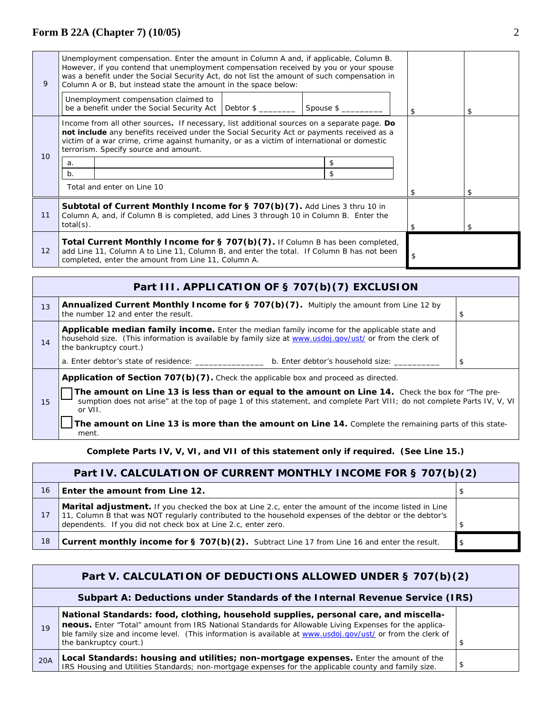| 9                                                                                                                                                                                                                                                                                                                                                  | Unemployment compensation. Enter the amount in Column A and, if applicable, Column B.<br>However, if you contend that unemployment compensation received by you or your spouse<br>was a benefit under the Social Security Act, do not list the amount of such compensation in<br>Column A or B, but instead state the amount in the space below: |                                                                                                                                                                      |                      |           |     |  |    |
|----------------------------------------------------------------------------------------------------------------------------------------------------------------------------------------------------------------------------------------------------------------------------------------------------------------------------------------------------|--------------------------------------------------------------------------------------------------------------------------------------------------------------------------------------------------------------------------------------------------------------------------------------------------------------------------------------------------|----------------------------------------------------------------------------------------------------------------------------------------------------------------------|----------------------|-----------|-----|--|----|
|                                                                                                                                                                                                                                                                                                                                                    |                                                                                                                                                                                                                                                                                                                                                  | Unemployment compensation claimed to<br>be a benefit under the Social Security Act                                                                                   | Debtor $\frac{1}{2}$ | Spouse \$ |     |  | \$ |
| Income from all other sources. If necessary, list additional sources on a separate page. Do<br>not include any benefits received under the Social Security Act or payments received as a<br>victim of a war crime, crime against humanity, or as a victim of international or domestic<br>terrorism. Specify source and amount.<br>10 <sup>1</sup> |                                                                                                                                                                                                                                                                                                                                                  |                                                                                                                                                                      |                      |           |     |  |    |
|                                                                                                                                                                                                                                                                                                                                                    | a.                                                                                                                                                                                                                                                                                                                                               |                                                                                                                                                                      |                      |           | \$  |  |    |
|                                                                                                                                                                                                                                                                                                                                                    | b.                                                                                                                                                                                                                                                                                                                                               |                                                                                                                                                                      |                      |           | \$. |  |    |
|                                                                                                                                                                                                                                                                                                                                                    |                                                                                                                                                                                                                                                                                                                                                  | Total and enter on Line 10                                                                                                                                           |                      |           |     |  |    |
| 11                                                                                                                                                                                                                                                                                                                                                 | $total(s)$ .                                                                                                                                                                                                                                                                                                                                     | Subtotal of Current Monthly Income for § 707(b)(7). Add Lines 3 thru 10 in<br>Column A, and, if Column B is completed, add Lines 3 through 10 in Column B. Enter the |                      |           |     |  |    |
| 12                                                                                                                                                                                                                                                                                                                                                 | Total Current Monthly Income for $\S$ 707(b)(7). If Column B has been completed,<br>add Line 11, Column A to Line 11, Column B, and enter the total. If Column B has not been<br>\$<br>completed, enter the amount from Line 11, Column A.                                                                                                       |                                                                                                                                                                      |                      |           |     |  |    |

|    | Part III. APPLICATION OF § 707(b)(7) EXCLUSION                                                                                                                                                                                            |    |
|----|-------------------------------------------------------------------------------------------------------------------------------------------------------------------------------------------------------------------------------------------|----|
| 13 | <b>Annualized Current Monthly Income for § 707(b)(7).</b> Multiply the amount from Line 12 by<br>the number 12 and enter the result.                                                                                                      | \$ |
| 14 | <b>Applicable median family income.</b> Enter the median family income for the applicable state and<br>household size. (This information is available by family size at www.usdoj.gov/ust/ or from the clerk of<br>the bankruptcy court.) |    |
|    | b. Enter debtor's household size:<br>a. Enter debtor's state of residence:                                                                                                                                                                | \$ |
|    | Application of Section 707(b)(7). Check the applicable box and proceed as directed.                                                                                                                                                       |    |
| 15 | The amount on Line 13 is less than or equal to the amount on Line 14. Check the box for "The pre-<br>sumption does not arise" at the top of page 1 of this statement, and complete Part VIII; do not complete Parts IV, V, VI<br>or VII.  |    |
|    | The amount on Line 13 is more than the amount on Line 14. Complete the remaining parts of this state-                                                                                                                                     |    |

**The amount on Line 13 is more than the amount on Line 14.** Complete the remaining parts of this statement.

**Complete Parts IV, V, VI, and VII of this statement only if required. (See Line 15.)** 

|    | Part IV. CALCULATION OF CURRENT MONTHLY INCOME FOR § 707(b)(2)                                                                                                                                                                                                                           |    |  |
|----|------------------------------------------------------------------------------------------------------------------------------------------------------------------------------------------------------------------------------------------------------------------------------------------|----|--|
| 16 | Enter the amount from Line 12.                                                                                                                                                                                                                                                           |    |  |
| 17 | <b>Marital adjustment.</b> If you checked the box at Line 2.c, enter the amount of the income listed in Line<br>11, Column B that was NOT regularly contributed to the household expenses of the debtor or the debtor's<br>dependents. If you did not check box at Line 2.c, enter zero. |    |  |
| 18 | <b>Current monthly income for § 707(b)(2).</b> Subtract Line 17 from Line 16 and enter the result.                                                                                                                                                                                       | \$ |  |

|     | Part V. CALCULATION OF DEDUCTIONS ALLOWED UNDER § 707(b)(2)                                                                                                                                                                                                                                                                             |  |  |
|-----|-----------------------------------------------------------------------------------------------------------------------------------------------------------------------------------------------------------------------------------------------------------------------------------------------------------------------------------------|--|--|
|     | Subpart A: Deductions under Standards of the Internal Revenue Service (IRS)                                                                                                                                                                                                                                                             |  |  |
| 19  | National Standards: food, clothing, household supplies, personal care, and miscella-<br>neous. Enter "Total" amount from IRS National Standards for Allowable Living Expenses for the applica-<br>ble family size and income level. (This information is available at www.usdoj.gov/ust/ or from the clerk of<br>the bankruptcy court.) |  |  |
| 20A | Local Standards: housing and utilities; non-mortgage expenses. Enter the amount of the<br>IRS Housing and Utilities Standards; non-mortgage expenses for the applicable county and family size.                                                                                                                                         |  |  |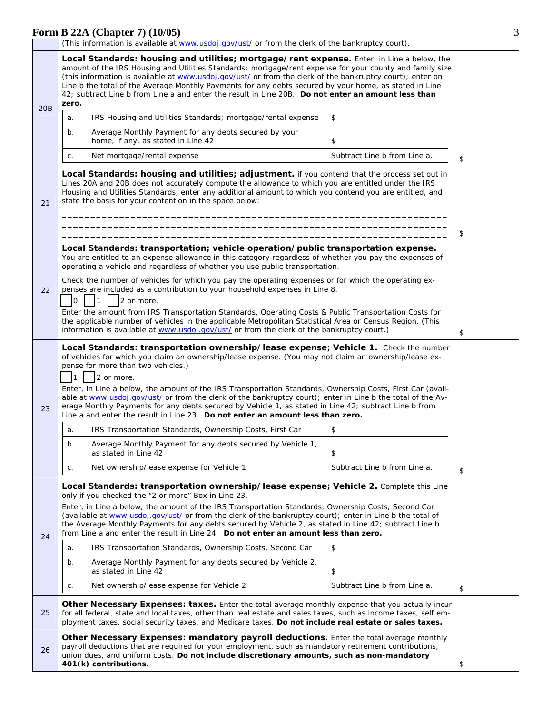|     | (This information is available at www.usdoj.gov/ust/ or from the clerk of the bankruptcy court).                                                                                                                     |                                                                                                                                                                                                                                                                                                                                                                                                                                                                                                                                                                                                                                                                           |                              |    |
|-----|----------------------------------------------------------------------------------------------------------------------------------------------------------------------------------------------------------------------|---------------------------------------------------------------------------------------------------------------------------------------------------------------------------------------------------------------------------------------------------------------------------------------------------------------------------------------------------------------------------------------------------------------------------------------------------------------------------------------------------------------------------------------------------------------------------------------------------------------------------------------------------------------------------|------------------------------|----|
| 20B | zero.                                                                                                                                                                                                                | Local Standards: housing and utilities; mortgage/rent expense. Enter, in Line a below, the<br>amount of the IRS Housing and Utilities Standards; mortgage/rent expense for your county and family size<br>(this information is available at www.usdoj.gov/ust/ or from the clerk of the bankruptcy court); enter on<br>Line b the total of the Average Monthly Payments for any debts secured by your home, as stated in Line<br>42: subtract Line b from Line a and enter the result in Line 20B. Do not enter an amount less than                                                                                                                                       |                              |    |
|     | a.                                                                                                                                                                                                                   | IRS Housing and Utilities Standards; mortgage/rental expense                                                                                                                                                                                                                                                                                                                                                                                                                                                                                                                                                                                                              | \$                           |    |
|     | b.                                                                                                                                                                                                                   | Average Monthly Payment for any debts secured by your<br>home, if any, as stated in Line 42                                                                                                                                                                                                                                                                                                                                                                                                                                                                                                                                                                               | \$                           |    |
|     | C.                                                                                                                                                                                                                   | Net mortgage/rental expense                                                                                                                                                                                                                                                                                                                                                                                                                                                                                                                                                                                                                                               | Subtract Line b from Line a. | \$ |
| 21  |                                                                                                                                                                                                                      | Local Standards: housing and utilities; adjustment. if you contend that the process set out in<br>Lines 20A and 20B does not accurately compute the allowance to which you are entitled under the IRS<br>Housing and Utilities Standards, enter any additional amount to which you contend you are entitled, and<br>state the basis for your contention in the space below:                                                                                                                                                                                                                                                                                               |                              | \$ |
|     | Local Standards: transportation; vehicle operation/public transportation expense.                                                                                                                                    |                                                                                                                                                                                                                                                                                                                                                                                                                                                                                                                                                                                                                                                                           |                              |    |
|     |                                                                                                                                                                                                                      | You are entitled to an expense allowance in this category regardless of whether you pay the expenses of<br>operating a vehicle and regardless of whether you use public transportation.                                                                                                                                                                                                                                                                                                                                                                                                                                                                                   |                              |    |
| 22  | Check the number of vehicles for which you pay the operating expenses or for which the operating ex-<br>penses are included as a contribution to your household expenses in Line 8.<br>2 or more.<br>l0<br>$\vert$ 1 |                                                                                                                                                                                                                                                                                                                                                                                                                                                                                                                                                                                                                                                                           |                              |    |
|     |                                                                                                                                                                                                                      | Enter the amount from IRS Transportation Standards, Operating Costs & Public Transportation Costs for<br>the applicable number of vehicles in the applicable Metropolitan Statistical Area or Census Region. (This<br>information is available at www.usdoj.gov/ust/ or from the clerk of the bankruptcy court.)                                                                                                                                                                                                                                                                                                                                                          |                              | \$ |
| 23  | I1.                                                                                                                                                                                                                  | Local Standards: transportation ownership/lease expense; Vehicle 1. Check the number<br>of vehicles for which you claim an ownership/lease expense. (You may not claim an ownership/lease ex-<br>pense for more than two vehicles.)<br>2 or more.<br>Enter, in Line a below, the amount of the IRS Transportation Standards, Ownership Costs, First Car (avail-<br>able at www.usdoj.gov/ust/ or from the clerk of the bankruptcy court); enter in Line b the total of the Av-<br>erage Monthly Payments for any debts secured by Vehicle 1, as stated in Line 42; subtract Line b from<br>Line a and enter the result in Line 23. Do not enter an amount less than zero. |                              |    |
|     | a.                                                                                                                                                                                                                   | IRS Transportation Standards, Ownership Costs, First Car                                                                                                                                                                                                                                                                                                                                                                                                                                                                                                                                                                                                                  | \$                           |    |
|     | b.                                                                                                                                                                                                                   | Average Monthly Payment for any debts secured by Vehicle 1,<br>as stated in Line 42                                                                                                                                                                                                                                                                                                                                                                                                                                                                                                                                                                                       | \$                           |    |
|     | C.                                                                                                                                                                                                                   | Net ownership/lease expense for Vehicle 1                                                                                                                                                                                                                                                                                                                                                                                                                                                                                                                                                                                                                                 | Subtract Line b from Line a. | \$ |
| 24  |                                                                                                                                                                                                                      | Local Standards: transportation ownership/lease expense; Vehicle 2. Complete this Line<br>only if you checked the "2 or more" Box in Line 23.<br>Enter, in Line a below, the amount of the IRS Transportation Standards, Ownership Costs, Second Car<br>(available at www.usdoj.gov/ust/ or from the clerk of the bankruptcy court); enter in Line b the total of<br>the Average Monthly Payments for any debts secured by Vehicle 2, as stated in Line 42; subtract Line b<br>from Line a and enter the result in Line 24. Do not enter an amount less than zero.                                                                                                        |                              |    |
|     | a.                                                                                                                                                                                                                   | IRS Transportation Standards, Ownership Costs, Second Car                                                                                                                                                                                                                                                                                                                                                                                                                                                                                                                                                                                                                 | \$                           |    |
|     | $b$ .                                                                                                                                                                                                                | Average Monthly Payment for any debts secured by Vehicle 2,<br>as stated in Line 42                                                                                                                                                                                                                                                                                                                                                                                                                                                                                                                                                                                       | \$                           |    |
|     | C.                                                                                                                                                                                                                   | Net ownership/lease expense for Vehicle 2                                                                                                                                                                                                                                                                                                                                                                                                                                                                                                                                                                                                                                 | Subtract Line b from Line a. | \$ |
| 25  |                                                                                                                                                                                                                      | Other Necessary Expenses: taxes. Enter the total average monthly expense that you actually incur<br>for all federal, state and local taxes, other than real estate and sales taxes, such as income taxes, self em-<br>ployment taxes, social security taxes, and Medicare taxes. Do not include real estate or sales taxes.                                                                                                                                                                                                                                                                                                                                               |                              |    |
| 26  |                                                                                                                                                                                                                      | Other Necessary Expenses: mandatory payroll deductions. Enter the total average monthly<br>payroll deductions that are required for your employment, such as mandatory retirement contributions,<br>union dues, and uniform costs. Do not include discretionary amounts, such as non-mandatory<br>401(k) contributions.                                                                                                                                                                                                                                                                                                                                                   |                              | \$ |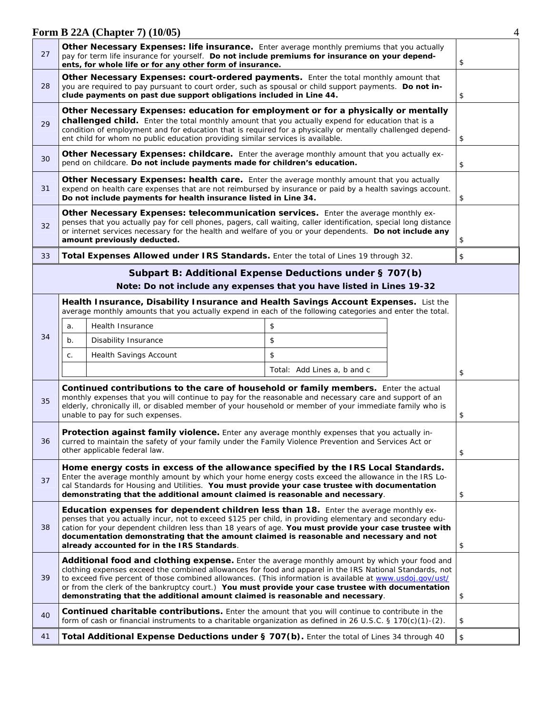| 27                                                                                                                                                                                                                                                                                                                                                                                             |       | <b>Other Necessary Expenses: life insurance.</b> Enter average monthly premiums that you actually<br>pay for term life insurance for yourself. Do not include premiums for insurance on your depend-<br>ents, for whole life or for any other form of insurance.                                                                                                                                                                                                                                             |                             |    | \$ |
|------------------------------------------------------------------------------------------------------------------------------------------------------------------------------------------------------------------------------------------------------------------------------------------------------------------------------------------------------------------------------------------------|-------|--------------------------------------------------------------------------------------------------------------------------------------------------------------------------------------------------------------------------------------------------------------------------------------------------------------------------------------------------------------------------------------------------------------------------------------------------------------------------------------------------------------|-----------------------------|----|----|
| Other Necessary Expenses: court-ordered payments. Enter the total monthly amount that<br>28<br>you are required to pay pursuant to court order, such as spousal or child support payments. Do not in-<br>clude payments on past due support obligations included in Line 44.                                                                                                                   |       |                                                                                                                                                                                                                                                                                                                                                                                                                                                                                                              |                             | \$ |    |
| Other Necessary Expenses: education for employment or for a physically or mentally<br>challenged child. Enter the total monthly amount that you actually expend for education that is a<br>29<br>condition of employment and for education that is required for a physically or mentally challenged depend-<br>ent child for whom no public education providing similar services is available. |       |                                                                                                                                                                                                                                                                                                                                                                                                                                                                                                              | \$                          |    |    |
| <b>Other Necessary Expenses: childcare.</b> Enter the average monthly amount that you actually ex-<br>30<br>pend on childcare. Do not include payments made for children's education.                                                                                                                                                                                                          |       |                                                                                                                                                                                                                                                                                                                                                                                                                                                                                                              | \$                          |    |    |
| 31                                                                                                                                                                                                                                                                                                                                                                                             |       | Other Necessary Expenses: health care. Enter the average monthly amount that you actually<br>expend on health care expenses that are not reimbursed by insurance or paid by a health savings account.<br>Do not include payments for health insurance listed in Line 34.                                                                                                                                                                                                                                     |                             |    | \$ |
| Other Necessary Expenses: telecommunication services. Enter the average monthly ex-<br>penses that you actually pay for cell phones, pagers, call waiting, caller identification, special long distance<br>32<br>or internet services necessary for the health and welfare of you or your dependents. Do not include any<br>amount previously deducted.                                        |       |                                                                                                                                                                                                                                                                                                                                                                                                                                                                                                              |                             | \$ |    |
| 33                                                                                                                                                                                                                                                                                                                                                                                             |       | Total Expenses Allowed under IRS Standards. Enter the total of Lines 19 through 32.                                                                                                                                                                                                                                                                                                                                                                                                                          |                             |    | \$ |
|                                                                                                                                                                                                                                                                                                                                                                                                |       | Subpart B: Additional Expense Deductions under § 707(b)                                                                                                                                                                                                                                                                                                                                                                                                                                                      |                             |    |    |
|                                                                                                                                                                                                                                                                                                                                                                                                |       | Note: Do not include any expenses that you have listed in Lines 19-32                                                                                                                                                                                                                                                                                                                                                                                                                                        |                             |    |    |
|                                                                                                                                                                                                                                                                                                                                                                                                |       | Health Insurance, Disability Insurance and Health Savings Account Expenses. List the<br>average monthly amounts that you actually expend in each of the following categories and enter the total.                                                                                                                                                                                                                                                                                                            |                             |    |    |
|                                                                                                                                                                                                                                                                                                                                                                                                | a.    | Health Insurance                                                                                                                                                                                                                                                                                                                                                                                                                                                                                             | \$                          |    |    |
| 34                                                                                                                                                                                                                                                                                                                                                                                             | $b$ . | Disability Insurance                                                                                                                                                                                                                                                                                                                                                                                                                                                                                         | \$                          |    |    |
|                                                                                                                                                                                                                                                                                                                                                                                                | С.    | <b>Health Savings Account</b>                                                                                                                                                                                                                                                                                                                                                                                                                                                                                | \$                          |    |    |
|                                                                                                                                                                                                                                                                                                                                                                                                |       |                                                                                                                                                                                                                                                                                                                                                                                                                                                                                                              | Total: Add Lines a, b and c |    | \$ |
| Continued contributions to the care of household or family members. Enter the actual<br>monthly expenses that you will continue to pay for the reasonable and necessary care and support of an<br>35<br>elderly, chronically ill, or disabled member of your household or member of your immediate family who is<br>unable to pay for such expenses.                                           |       |                                                                                                                                                                                                                                                                                                                                                                                                                                                                                                              | \$                          |    |    |
| Protection against family violence. Enter any average monthly expenses that you actually in-<br>36<br>curred to maintain the safety of your family under the Family Violence Prevention and Services Act or<br>other applicable federal law.                                                                                                                                                   |       |                                                                                                                                                                                                                                                                                                                                                                                                                                                                                                              | \$                          |    |    |
| 37                                                                                                                                                                                                                                                                                                                                                                                             |       | Home energy costs in excess of the allowance specified by the IRS Local Standards.<br>Enter the average monthly amount by which your home energy costs exceed the allowance in the IRS Lo-<br>cal Standards for Housing and Utilities. You must provide your case trustee with documentation<br>demonstrating that the additional amount claimed is reasonable and necessary.                                                                                                                                |                             |    | \$ |
| 38                                                                                                                                                                                                                                                                                                                                                                                             |       | Education expenses for dependent children less than 18. Enter the average monthly ex-<br>penses that you actually incur, not to exceed \$125 per child, in providing elementary and secondary edu-<br>cation for your dependent children less than 18 years of age. You must provide your case trustee with<br>documentation demonstrating that the amount claimed is reasonable and necessary and not<br>already accounted for in the IRS Standards.                                                        |                             |    | \$ |
| 39                                                                                                                                                                                                                                                                                                                                                                                             |       | Additional food and clothing expense. Enter the average monthly amount by which your food and<br>clothing expenses exceed the combined allowances for food and apparel in the IRS National Standards, not<br>to exceed five percent of those combined allowances. (This information is available at www.usdoj.gov/ust/<br>or from the clerk of the bankruptcy court.) You must provide your case trustee with documentation<br>demonstrating that the additional amount claimed is reasonable and necessary. |                             |    | \$ |
| 40                                                                                                                                                                                                                                                                                                                                                                                             |       | <b>Continued charitable contributions.</b> Enter the amount that you will continue to contribute in the<br>form of cash or financial instruments to a charitable organization as defined in 26 U.S.C. § 170(c)(1)-(2).                                                                                                                                                                                                                                                                                       |                             |    | \$ |
| 41                                                                                                                                                                                                                                                                                                                                                                                             |       | Total Additional Expense Deductions under § 707(b). Enter the total of Lines 34 through 40                                                                                                                                                                                                                                                                                                                                                                                                                   |                             |    | \$ |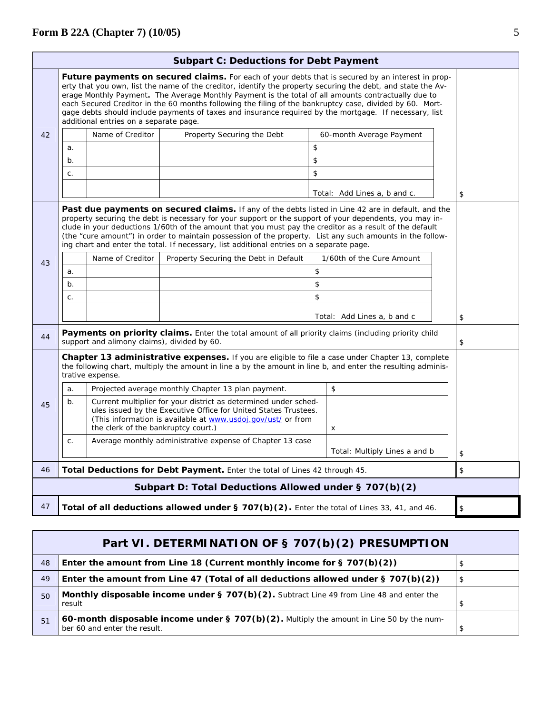|    |                                                                                                                                                                                                                                              | additional entries on a separate page.      | <b>Future payments on secured claims.</b> For each of your debts that is secured by an interest in prop-<br>erty that you own, list the name of the creditor, identify the property securing the debt, and state the Av-<br>erage Monthly Payment. The Average Monthly Payment is the total of all amounts contractually due to<br>each Secured Creditor in the 60 months following the filing of the bankruptcy case, divided by 60. Mort-<br>gage debts should include payments of taxes and insurance required by the mortgage. If necessary, list |                               |      |
|----|----------------------------------------------------------------------------------------------------------------------------------------------------------------------------------------------------------------------------------------------|---------------------------------------------|-------------------------------------------------------------------------------------------------------------------------------------------------------------------------------------------------------------------------------------------------------------------------------------------------------------------------------------------------------------------------------------------------------------------------------------------------------------------------------------------------------------------------------------------------------|-------------------------------|------|
| 42 |                                                                                                                                                                                                                                              | Name of Creditor                            | Property Securing the Debt                                                                                                                                                                                                                                                                                                                                                                                                                                                                                                                            | 60-month Average Payment      |      |
|    | a.                                                                                                                                                                                                                                           |                                             |                                                                                                                                                                                                                                                                                                                                                                                                                                                                                                                                                       | \$                            |      |
|    | b.                                                                                                                                                                                                                                           |                                             |                                                                                                                                                                                                                                                                                                                                                                                                                                                                                                                                                       | \$                            |      |
|    | C.                                                                                                                                                                                                                                           |                                             |                                                                                                                                                                                                                                                                                                                                                                                                                                                                                                                                                       | \$                            |      |
|    |                                                                                                                                                                                                                                              |                                             |                                                                                                                                                                                                                                                                                                                                                                                                                                                                                                                                                       | Total: Add Lines a, b and c.  | \$   |
|    |                                                                                                                                                                                                                                              |                                             | <b>Past due payments on secured claims.</b> If any of the debts listed in Line 42 are in default, and the<br>property securing the debt is necessary for your support or the support of your dependents, you may in-<br>clude in your deductions 1/60th of the amount that you must pay the creditor as a result of the default<br>(the "cure amount") in order to maintain possession of the property. List any such amounts in the follow-<br>ing chart and enter the total. If necessary, list additional entries on a separate page.              |                               |      |
| 43 |                                                                                                                                                                                                                                              | Name of Creditor                            | Property Securing the Debt in Default                                                                                                                                                                                                                                                                                                                                                                                                                                                                                                                 | 1/60th of the Cure Amount     |      |
|    | a.                                                                                                                                                                                                                                           |                                             |                                                                                                                                                                                                                                                                                                                                                                                                                                                                                                                                                       | \$                            |      |
|    | $b$ .                                                                                                                                                                                                                                        |                                             |                                                                                                                                                                                                                                                                                                                                                                                                                                                                                                                                                       | \$                            |      |
|    | C.                                                                                                                                                                                                                                           |                                             |                                                                                                                                                                                                                                                                                                                                                                                                                                                                                                                                                       | \$                            |      |
|    |                                                                                                                                                                                                                                              |                                             |                                                                                                                                                                                                                                                                                                                                                                                                                                                                                                                                                       | Total: Add Lines a, b and c   | \$   |
| 44 |                                                                                                                                                                                                                                              | support and alimony claims), divided by 60. | Payments on priority claims. Enter the total amount of all priority claims (including priority child                                                                                                                                                                                                                                                                                                                                                                                                                                                  |                               | \$   |
|    | <b>Chapter 13 administrative expenses.</b> If you are eligible to file a case under Chapter 13, complete<br>the following chart, multiply the amount in line a by the amount in line b, and enter the resulting adminis-<br>trative expense. |                                             |                                                                                                                                                                                                                                                                                                                                                                                                                                                                                                                                                       |                               |      |
|    | a.                                                                                                                                                                                                                                           |                                             | Projected average monthly Chapter 13 plan payment.                                                                                                                                                                                                                                                                                                                                                                                                                                                                                                    | \$                            |      |
| 45 | b.                                                                                                                                                                                                                                           | the clerk of the bankruptcy court.)         | Current multiplier for your district as determined under sched-<br>ules issued by the Executive Office for United States Trustees.<br>(This information is available at www.usdoj.gov/ust/ or from                                                                                                                                                                                                                                                                                                                                                    | x                             |      |
|    | C.                                                                                                                                                                                                                                           |                                             | Average monthly administrative expense of Chapter 13 case                                                                                                                                                                                                                                                                                                                                                                                                                                                                                             | Total: Multiply Lines a and b | $\,$ |
| 46 |                                                                                                                                                                                                                                              |                                             | Total Deductions for Debt Payment. Enter the total of Lines 42 through 45.                                                                                                                                                                                                                                                                                                                                                                                                                                                                            |                               | \$   |
|    |                                                                                                                                                                                                                                              |                                             | Subpart D: Total Deductions Allowed under § 707(b)(2)                                                                                                                                                                                                                                                                                                                                                                                                                                                                                                 |                               |      |
| 47 |                                                                                                                                                                                                                                              |                                             | Total of all deductions allowed under § 707(b)(2). Enter the total of Lines 33, 41, and 46.                                                                                                                                                                                                                                                                                                                                                                                                                                                           |                               | \$   |

## **Part VI. DETERMINATION OF § 707(b)(2) PRESUMPTION** 48 **Enter the amount from Line 18 (Current monthly income for § 707(b)(2))**  $\left|\frac{1}{3}\right|$ 49 **Enter the amount from Line 47 (Total of all deductions allowed under § 707(b)(2))** \ \ \$ **Monthly disposable income under § 707(b)(2).** Subtract Line 49 from Line 48 and enter the result result the state of the state of the state of the state of the state of the state of the state of the state of the state of the state of the state of the state of the state of the state of the state of the state of the sta 51 **60-month disposable income under § 707(b)(2).** Multiply the amount in Line 50 by the number 60 and enter the result.